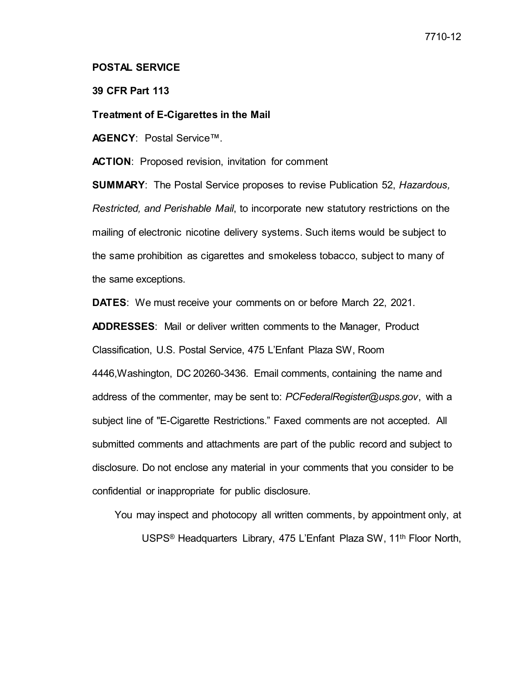## **POSTAL SERVICE**

## **39 CFR Part 113**

## **Treatment of E-Cigarettes in the Mail**

**AGENCY**: Postal Service™.

**ACTION**: Proposed revision, invitation for comment

**SUMMARY**: The Postal Service proposes to revise Publication 52, *Hazardous, Restricted, and Perishable Mail*, to incorporate new statutory restrictions on the mailing of electronic nicotine delivery systems. Such items would be subject to the same prohibition as cigarettes and smokeless tobacco, subject to many of the same exceptions.

**DATES**: We must receive your comments on or before March 22, 2021.

**ADDRESSES**: Mail or deliver written comments to the Manager, Product Classification, U.S. Postal Service, 475 L'Enfant Plaza SW, Room 4446,Washington, DC 20260-3436. Email comments, containing the name and address of the commenter, may be sent to: *PCFederalRegister@usps.gov*, with a subject line of "E-Cigarette Restrictions." Faxed comments are not accepted. All submitted comments and attachments are part of the public record and subject to disclosure. Do not enclose any material in your comments that you consider to be confidential or inappropriate for public disclosure.

You may inspect and photocopy all written comments, by appointment only, at

USPS<sup>®</sup> Headquarters Library, 475 L'Enfant Plaza SW, 11<sup>th</sup> Floor North,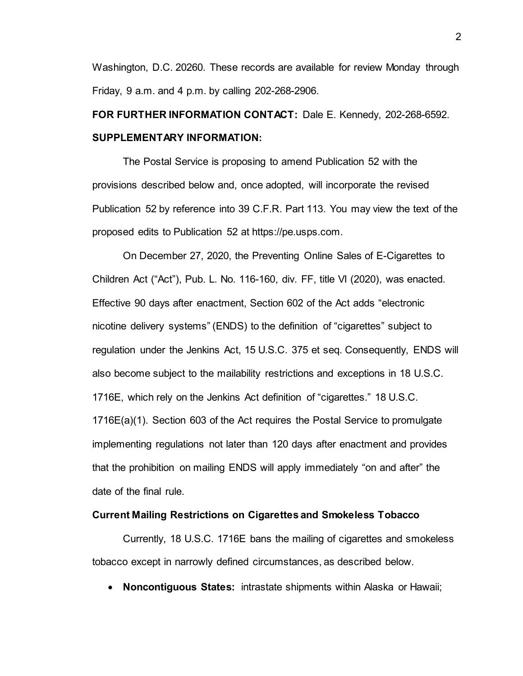Washington, D.C. 20260. These records are available for review Monday through Friday, 9 a.m. and 4 p.m. by calling 202-268-2906.

# **FOR FURTHER INFORMATION CONTACT:** Dale E. Kennedy, 202-268-6592. **SUPPLEMENTARY INFORMATION:**

The Postal Service is proposing to amend Publication 52 with the provisions described below and, once adopted, will incorporate the revised Publication 52 by reference into 39 C.F.R. Part 113. You may view the text of the proposed edits to Publication 52 at https://pe.usps.com.

On December 27, 2020, the Preventing Online Sales of E-Cigarettes to Children Act ("Act"), Pub. L. No. 116-160, div. FF, title VI (2020), was enacted. Effective 90 days after enactment, Section 602 of the Act adds "electronic nicotine delivery systems" (ENDS) to the definition of "cigarettes" subject to regulation under the Jenkins Act, 15 U.S.C. 375 et seq. Consequently, ENDS will also become subject to the mailability restrictions and exceptions in 18 U.S.C. 1716E, which rely on the Jenkins Act definition of "cigarettes." 18 U.S.C. 1716E(a)(1). Section 603 of the Act requires the Postal Service to promulgate implementing regulations not later than 120 days after enactment and provides that the prohibition on mailing ENDS will apply immediately "on and after" the date of the final rule.

## **Current Mailing Restrictions on Cigarettes and Smokeless Tobacco**

Currently, 18 U.S.C. 1716E bans the mailing of cigarettes and smokeless tobacco except in narrowly defined circumstances, as described below.

• **Noncontiguous States:** intrastate shipments within Alaska or Hawaii;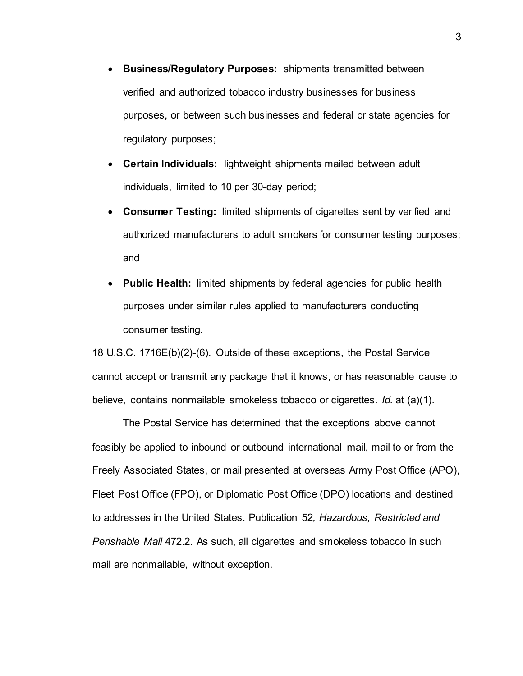- **Business/Regulatory Purposes:** shipments transmitted between verified and authorized tobacco industry businesses for business purposes, or between such businesses and federal or state agencies for regulatory purposes;
- **Certain Individuals:** lightweight shipments mailed between adult individuals, limited to 10 per 30-day period;
- **Consumer Testing:** limited shipments of cigarettes sent by verified and authorized manufacturers to adult smokers for consumer testing purposes; and
- **Public Health:** limited shipments by federal agencies for public health purposes under similar rules applied to manufacturers conducting consumer testing.

18 U.S.C. 1716E(b)(2)-(6). Outside of these exceptions, the Postal Service cannot accept or transmit any package that it knows, or has reasonable cause to believe, contains nonmailable smokeless tobacco or cigarettes. *Id.* at (a)(1).

The Postal Service has determined that the exceptions above cannot feasibly be applied to inbound or outbound international mail, mail to or from the Freely Associated States, or mail presented at overseas Army Post Office (APO), Fleet Post Office (FPO), or Diplomatic Post Office (DPO) locations and destined to addresses in the United States. Publication 52*, Hazardous, Restricted and Perishable Mail* 472.2. As such, all cigarettes and smokeless tobacco in such mail are nonmailable, without exception.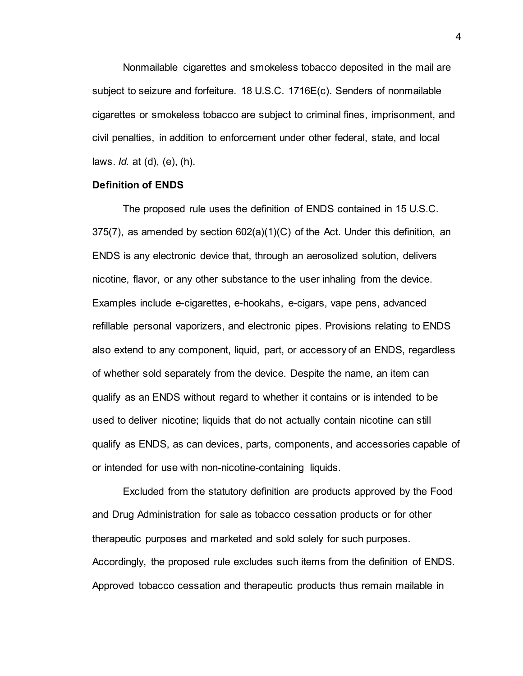Nonmailable cigarettes and smokeless tobacco deposited in the mail are subject to seizure and forfeiture. 18 U.S.C. 1716E(c). Senders of nonmailable cigarettes or smokeless tobacco are subject to criminal fines, imprisonment, and civil penalties, in addition to enforcement under other federal, state, and local laws. *Id.* at (d), (e), (h).

## **Definition of ENDS**

The proposed rule uses the definition of ENDS contained in 15 U.S.C.  $375(7)$ , as amended by section  $602(a)(1)(C)$  of the Act. Under this definition, an ENDS is any electronic device that, through an aerosolized solution, delivers nicotine, flavor, or any other substance to the user inhaling from the device. Examples include e-cigarettes, e-hookahs, e-cigars, vape pens, advanced refillable personal vaporizers, and electronic pipes. Provisions relating to ENDS also extend to any component, liquid, part, or accessory of an ENDS, regardless of whether sold separately from the device. Despite the name, an item can qualify as an ENDS without regard to whether it contains or is intended to be used to deliver nicotine; liquids that do not actually contain nicotine can still qualify as ENDS, as can devices, parts, components, and accessories capable of or intended for use with non-nicotine-containing liquids.

Excluded from the statutory definition are products approved by the Food and Drug Administration for sale as tobacco cessation products or for other therapeutic purposes and marketed and sold solely for such purposes. Accordingly, the proposed rule excludes such items from the definition of ENDS. Approved tobacco cessation and therapeutic products thus remain mailable in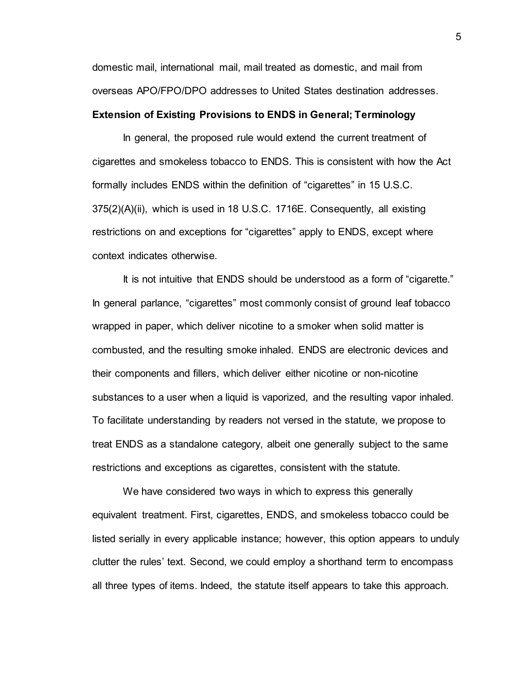domestic mail, international mail, mail treated as domestic, and mail from overseas APO/FPO/DPO addresses to United States destination addresses.

## **Extension of Existing Provisions to ENDS in General; Terminology**

In general, the proposed rule would extend the current treatment of cigarettes and smokeless tobacco to ENDS. This is consistent with how the Act formally includes ENDS within the definition of "cigarettes" in 15 U.S.C. 375(2)(A)(ii), which is used in 18 U.S.C. 1716E. Consequently, all existing restrictions on and exceptions for "cigarettes" apply to ENDS, except where context indicates otherwise.

It is not intuitive that ENDS should be understood as a form of "cigarette." In general parlance, "cigarettes" most commonly consist of ground leaf tobacco wrapped in paper, which deliver nicotine to a smoker when solid matter is combusted, and the resulting smoke inhaled. ENDS are electronic devices and their components and fillers, which deliver either nicotine or non-nicotine substances to a user when a liquid is vaporized, and the resulting vapor inhaled. To facilitate understanding by readers not versed in the statute, we propose to treat ENDS as a standalone category, albeit one generally subject to the same restrictions and exceptions as cigarettes, consistent with the statute.

We have considered two ways in which to express this generally equivalent treatment. First, cigarettes, ENDS, and smokeless tobacco could be listed serially in every applicable instance; however, this option appears to unduly clutter the rules' text. Second, we could employ a shorthand term to encompass all three types of items. Indeed, the statute itself appears to take this approach.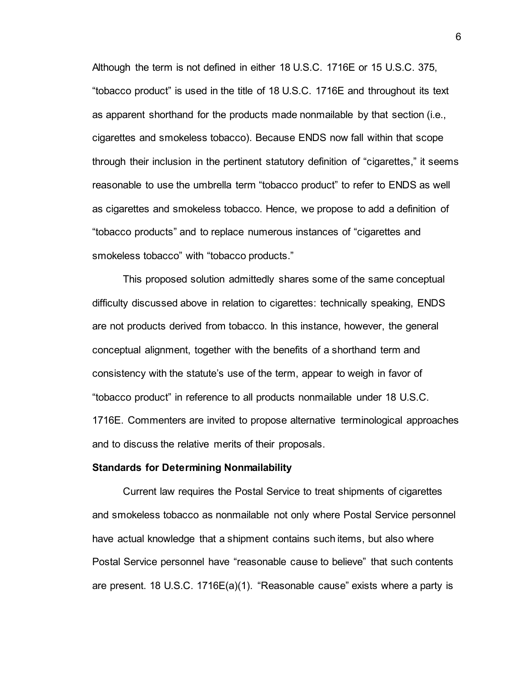Although the term is not defined in either 18 U.S.C. 1716E or 15 U.S.C. 375, "tobacco product" is used in the title of 18 U.S.C. 1716E and throughout its text as apparent shorthand for the products made nonmailable by that section (i.e., cigarettes and smokeless tobacco). Because ENDS now fall within that scope through their inclusion in the pertinent statutory definition of "cigarettes," it seems reasonable to use the umbrella term "tobacco product" to refer to ENDS as well as cigarettes and smokeless tobacco. Hence, we propose to add a definition of "tobacco products" and to replace numerous instances of "cigarettes and smokeless tobacco" with "tobacco products."

This proposed solution admittedly shares some of the same conceptual difficulty discussed above in relation to cigarettes: technically speaking, ENDS are not products derived from tobacco. In this instance, however, the general conceptual alignment, together with the benefits of a shorthand term and consistency with the statute's use of the term, appear to weigh in favor of "tobacco product" in reference to all products nonmailable under 18 U.S.C. 1716E. Commenters are invited to propose alternative terminological approaches and to discuss the relative merits of their proposals.

### **Standards for Determining Nonmailability**

Current law requires the Postal Service to treat shipments of cigarettes and smokeless tobacco as nonmailable not only where Postal Service personnel have actual knowledge that a shipment contains such items, but also where Postal Service personnel have "reasonable cause to believe" that such contents are present. 18 U.S.C. 1716E(a)(1). "Reasonable cause" exists where a party is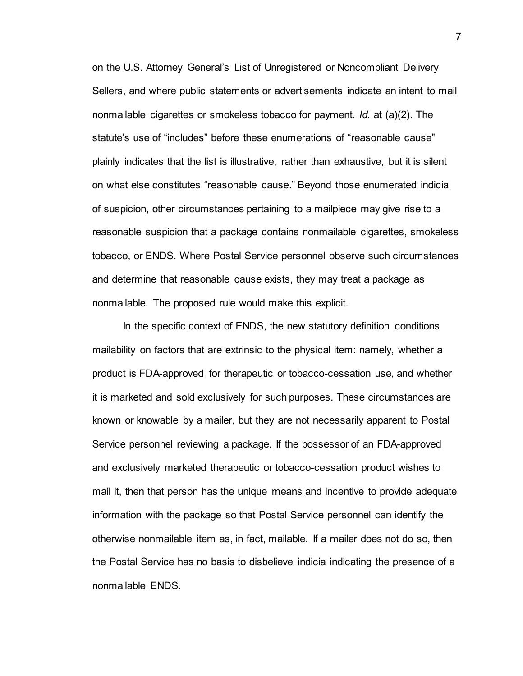on the U.S. Attorney General's List of Unregistered or Noncompliant Delivery Sellers, and where public statements or advertisements indicate an intent to mail nonmailable cigarettes or smokeless tobacco for payment. *Id.* at (a)(2). The statute's use of "includes" before these enumerations of "reasonable cause" plainly indicates that the list is illustrative, rather than exhaustive, but it is silent on what else constitutes "reasonable cause." Beyond those enumerated indicia of suspicion, other circumstances pertaining to a mailpiece may give rise to a reasonable suspicion that a package contains nonmailable cigarettes, smokeless tobacco, or ENDS. Where Postal Service personnel observe such circumstances and determine that reasonable cause exists, they may treat a package as nonmailable. The proposed rule would make this explicit.

In the specific context of ENDS, the new statutory definition conditions mailability on factors that are extrinsic to the physical item: namely, whether a product is FDA-approved for therapeutic or tobacco-cessation use, and whether it is marketed and sold exclusively for such purposes. These circumstances are known or knowable by a mailer, but they are not necessarily apparent to Postal Service personnel reviewing a package. If the possessor of an FDA-approved and exclusively marketed therapeutic or tobacco-cessation product wishes to mail it, then that person has the unique means and incentive to provide adequate information with the package so that Postal Service personnel can identify the otherwise nonmailable item as, in fact, mailable. If a mailer does not do so, then the Postal Service has no basis to disbelieve indicia indicating the presence of a nonmailable ENDS.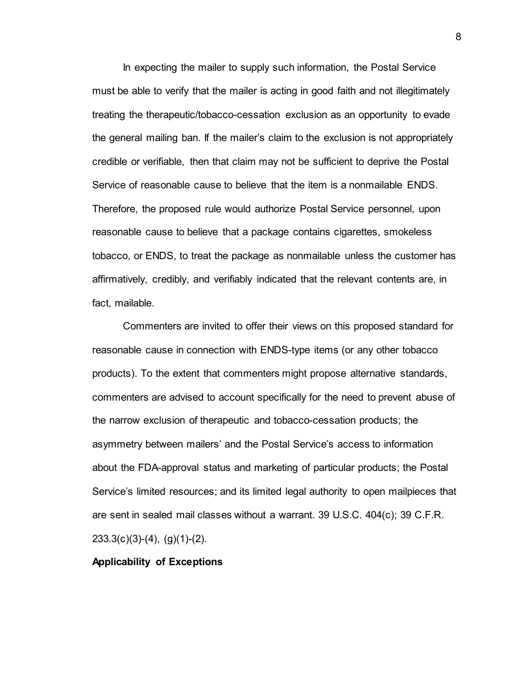In expecting the mailer to supply such information, the Postal Service must be able to verify that the mailer is acting in good faith and not illegitimately treating the therapeutic/tobacco-cessation exclusion as an opportunity to evade the general mailing ban. If the mailer's claim to the exclusion is not appropriately credible or verifiable, then that claim may not be sufficient to deprive the Postal Service of reasonable cause to believe that the item is a nonmailable ENDS. Therefore, the proposed rule would authorize Postal Service personnel, upon reasonable cause to believe that a package contains cigarettes, smokeless tobacco, or ENDS, to treat the package as nonmailable unless the customer has affirmatively, credibly, and verifiably indicated that the relevant contents are, in fact, mailable.

Commenters are invited to offer their views on this proposed standard for reasonable cause in connection with ENDS-type items (or any other tobacco products). To the extent that commenters might propose alternative standards, commenters are advised to account specifically for the need to prevent abuse of the narrow exclusion of therapeutic and tobacco-cessation products; the asymmetry between mailers' and the Postal Service's access to information about the FDA-approval status and marketing of particular products; the Postal Service's limited resources; and its limited legal authority to open mailpieces that are sent in sealed mail classes without a warrant. 39 U.S.C. 404(c); 39 C.F.R. 233.3(c)(3)-(4), (g)(1)-(2).

## **Applicability of Exceptions**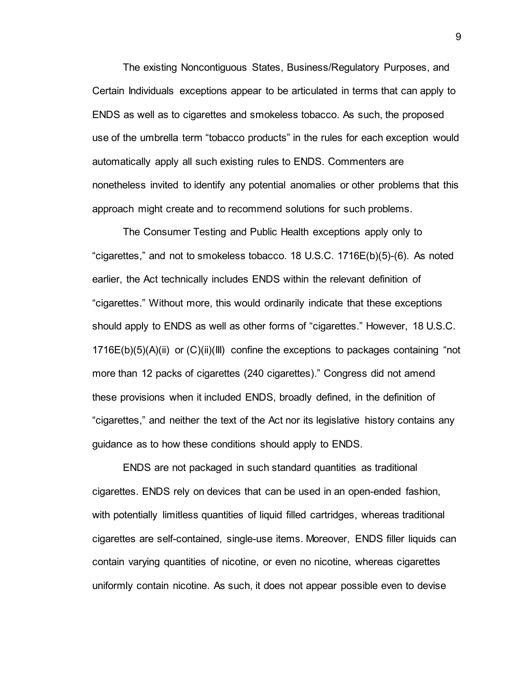The existing Noncontiguous States, Business/Regulatory Purposes, and Certain Individuals exceptions appear to be articulated in terms that can apply to ENDS as well as to cigarettes and smokeless tobacco. As such, the proposed use of the umbrella term "tobacco products" in the rules for each exception would automatically apply all such existing rules to ENDS. Commenters are nonetheless invited to identify any potential anomalies or other problems that this approach might create and to recommend solutions for such problems.

The Consumer Testing and Public Health exceptions apply only to "cigarettes," and not to smokeless tobacco. 18 U.S.C. 1716E(b)(5)-(6). As noted earlier, the Act technically includes ENDS within the relevant definition of "cigarettes." Without more, this would ordinarily indicate that these exceptions should apply to ENDS as well as other forms of "cigarettes." However, 18 U.S.C. 1716E(b)(5)(A)(ii) or (C)(ii)(III) confine the exceptions to packages containing "not more than 12 packs of cigarettes (240 cigarettes)." Congress did not amend these provisions when it included ENDS, broadly defined, in the definition of "cigarettes," and neither the text of the Act nor its legislative history contains any guidance as to how these conditions should apply to ENDS.

ENDS are not packaged in such standard quantities as traditional cigarettes. ENDS rely on devices that can be used in an open-ended fashion, with potentially limitless quantities of liquid filled cartridges, whereas traditional cigarettes are self-contained, single-use items. Moreover, ENDS filler liquids can contain varying quantities of nicotine, or even no nicotine, whereas cigarettes uniformly contain nicotine. As such, it does not appear possible even to devise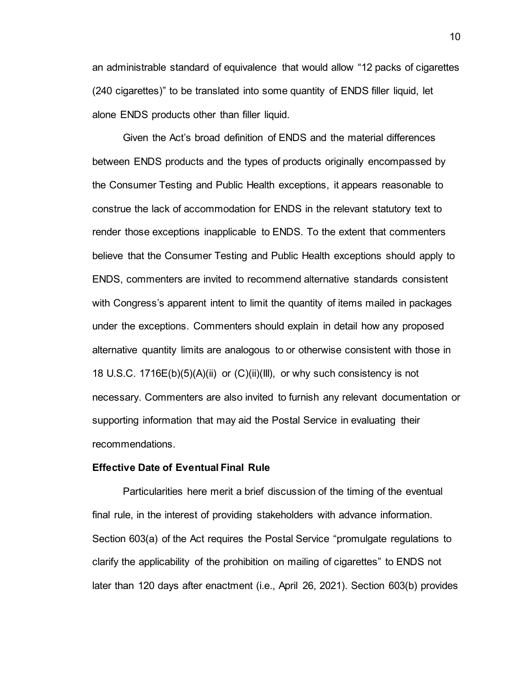an administrable standard of equivalence that would allow "12 packs of cigarettes (240 cigarettes)" to be translated into some quantity of ENDS filler liquid, let alone ENDS products other than filler liquid.

Given the Act's broad definition of ENDS and the material differences between ENDS products and the types of products originally encompassed by the Consumer Testing and Public Health exceptions, it appears reasonable to construe the lack of accommodation for ENDS in the relevant statutory text to render those exceptions inapplicable to ENDS. To the extent that commenters believe that the Consumer Testing and Public Health exceptions should apply to ENDS, commenters are invited to recommend alternative standards consistent with Congress's apparent intent to limit the quantity of items mailed in packages under the exceptions. Commenters should explain in detail how any proposed alternative quantity limits are analogous to or otherwise consistent with those in 18 U.S.C. 1716E(b)(5)(A)(ii) or (C)(ii)(III), or why such consistency is not necessary. Commenters are also invited to furnish any relevant documentation or supporting information that may aid the Postal Service in evaluating their recommendations.

### **Effective Date of Eventual Final Rule**

Particularities here merit a brief discussion of the timing of the eventual final rule, in the interest of providing stakeholders with advance information. Section 603(a) of the Act requires the Postal Service "promulgate regulations to clarify the applicability of the prohibition on mailing of cigarettes" to ENDS not later than 120 days after enactment (i.e., April 26, 2021). Section 603(b) provides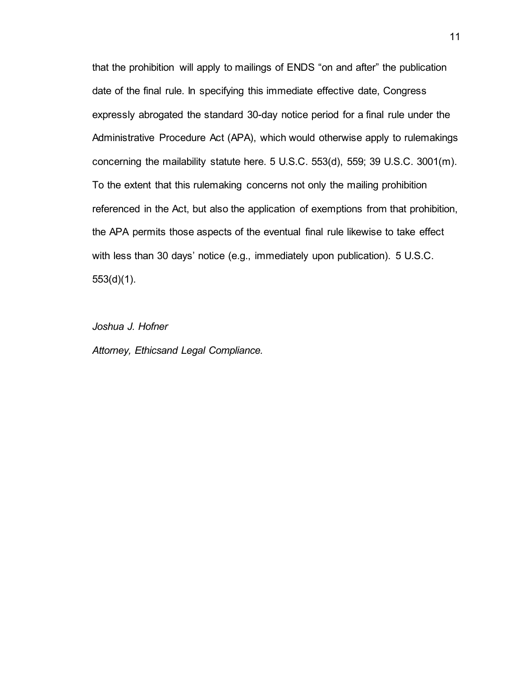that the prohibition will apply to mailings of ENDS "on and after" the publication date of the final rule. In specifying this immediate effective date, Congress expressly abrogated the standard 30-day notice period for a final rule under the Administrative Procedure Act (APA), which would otherwise apply to rulemakings concerning the mailability statute here. 5 U.S.C. 553(d), 559; 39 U.S.C. 3001(m). To the extent that this rulemaking concerns not only the mailing prohibition referenced in the Act, but also the application of exemptions from that prohibition, the APA permits those aspects of the eventual final rule likewise to take effect with less than 30 days' notice (e.g., immediately upon publication). 5 U.S.C. 553(d)(1).

*Joshua J. Hofner*

*Attorney, Ethicsand Legal Compliance.*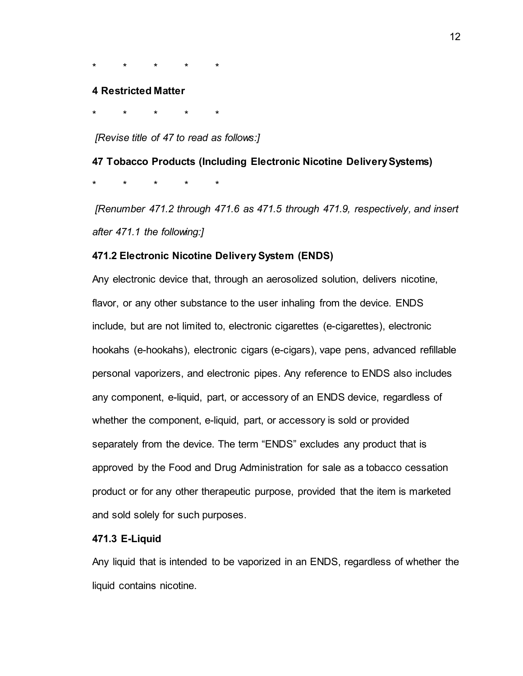\* \* \* \* \*

#### **4 Restricted Matter**

\* \* \* \* \*

## *[Revise title of 47 to read as follows:]*

**47 Tobacco Products (Including Electronic Nicotine Delivery Systems)** \* \* \* \* \*

*[Renumber 471.2 through 471.6 as 471.5 through 471.9, respectively, and insert after 471.1 the following:]*

## **471.2 Electronic Nicotine Delivery System (ENDS)**

Any electronic device that, through an aerosolized solution, delivers nicotine, flavor, or any other substance to the user inhaling from the device. ENDS include, but are not limited to, electronic cigarettes (e-cigarettes), electronic hookahs (e-hookahs), electronic cigars (e-cigars), vape pens, advanced refillable personal vaporizers, and electronic pipes. Any reference to ENDS also includes any component, e-liquid, part, or accessory of an ENDS device, regardless of whether the component, e-liquid, part, or accessory is sold or provided separately from the device. The term "ENDS" excludes any product that is approved by the Food and Drug Administration for sale as a tobacco cessation product or for any other therapeutic purpose, provided that the item is marketed and sold solely for such purposes.

## **471.3 E-Liquid**

Any liquid that is intended to be vaporized in an ENDS, regardless of whether the liquid contains nicotine.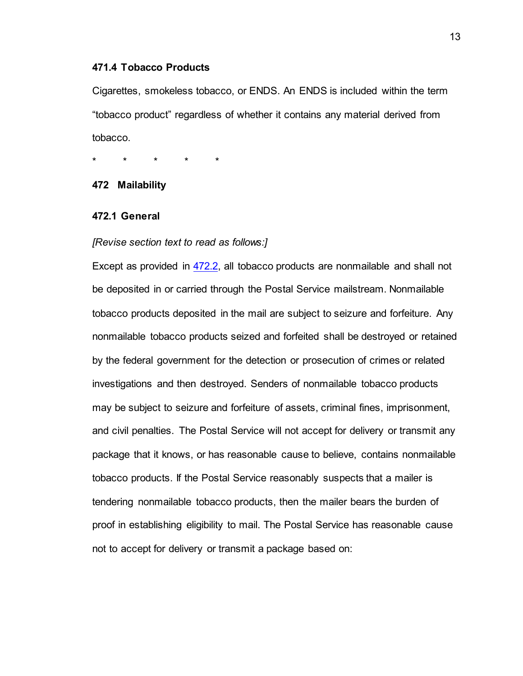## **471.4 Tobacco Products**

Cigarettes, smokeless tobacco, or ENDS. An ENDS is included within the term "tobacco product" regardless of whether it contains any material derived from tobacco.

\* \* \* \* \*

## **472 Mailability**

## **472.1 General**

#### *[Revise section text to read as follows:]*

Except as provided in [472.2,](https://pe.usps.com/text/pub52/pub52c4_026.htm#ep347208) all tobacco products are nonmailable and shall not be deposited in or carried through the Postal Service mailstream. Nonmailable tobacco products deposited in the mail are subject to seizure and forfeiture. Any nonmailable tobacco products seized and forfeited shall be destroyed or retained by the federal government for the detection or prosecution of crimes or related investigations and then destroyed. Senders of nonmailable tobacco products may be subject to seizure and forfeiture of assets, criminal fines, imprisonment, and civil penalties. The Postal Service will not accept for delivery or transmit any package that it knows, or has reasonable cause to believe, contains nonmailable tobacco products. If the Postal Service reasonably suspects that a mailer is tendering nonmailable tobacco products, then the mailer bears the burden of proof in establishing eligibility to mail. The Postal Service has reasonable cause not to accept for delivery or transmit a package based on: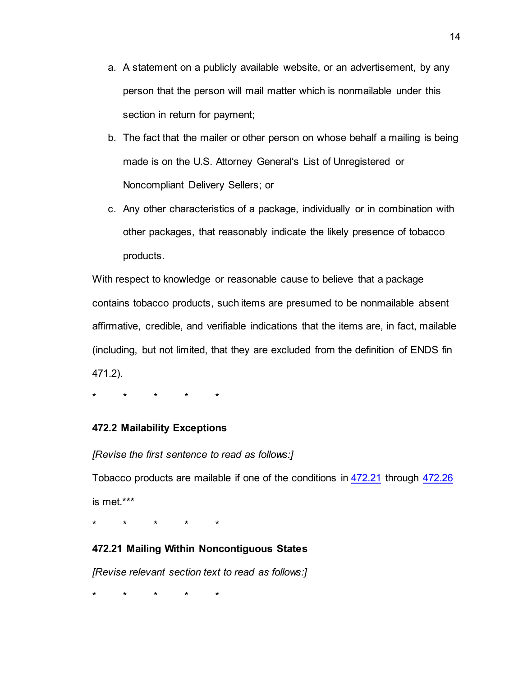- a. A statement on a publicly available website, or an advertisement, by any person that the person will mail matter which is nonmailable under this section in return for payment;
- b. The fact that the mailer or other person on whose behalf a mailing is being made is on the U.S. Attorney General's List of Unregistered or Noncompliant Delivery Sellers; or
- c. Any other characteristics of a package, individually or in combination with other packages, that reasonably indicate the likely presence of tobacco products.

With respect to knowledge or reasonable cause to believe that a package contains tobacco products, such items are presumed to be nonmailable absent affirmative, credible, and verifiable indications that the items are, in fact, mailable (including, but not limited, that they are excluded from the definition of ENDS fin 471.2).

\* \* \* \* \*

## **472.2 Mailability Exceptions**

*[Revise the first sentence to read as follows:]*

Tobacco products are mailable if one of the conditions in [472.21](https://pe.usps.com/text/pub52/pub52c4_026.htm#ep347213) through [472.26](https://pe.usps.com/text/pub52/pub52c4_026.htm#ep347339) is met.\*\*\*

\* \* \* \* \*

## **472.21 Mailing Within Noncontiguous States**

*[Revise relevant section text to read as follows:]*

\* \* \* \* \*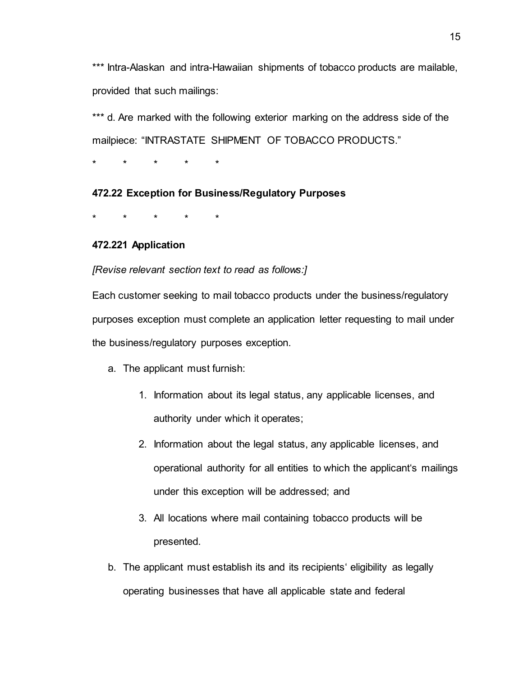\*\*\* Intra-Alaskan and intra-Hawaiian shipments of tobacco products are mailable, provided that such mailings:

\*\*\* d. Are marked with the following exterior marking on the address side of the mailpiece: "INTRASTATE SHIPMENT OF TOBACCO PRODUCTS."

\* \* \* \* \*

## **472.22 Exception for Business/Regulatory Purposes**

\* \* \* \* \*

## **472.221 Application**

*[Revise relevant section text to read as follows:]*

Each customer seeking to mail tobacco products under the business/regulatory purposes exception must complete an application letter requesting to mail under the business/regulatory purposes exception.

- a. The applicant must furnish:
	- 1. Information about its legal status, any applicable licenses, and authority under which it operates;
	- 2. Information about the legal status, any applicable licenses, and operational authority for all entities to which the applicant's mailings under this exception will be addressed; and
	- 3. All locations where mail containing tobacco products will be presented.
- b. The applicant must establish its and its recipients' eligibility as legally operating businesses that have all applicable state and federal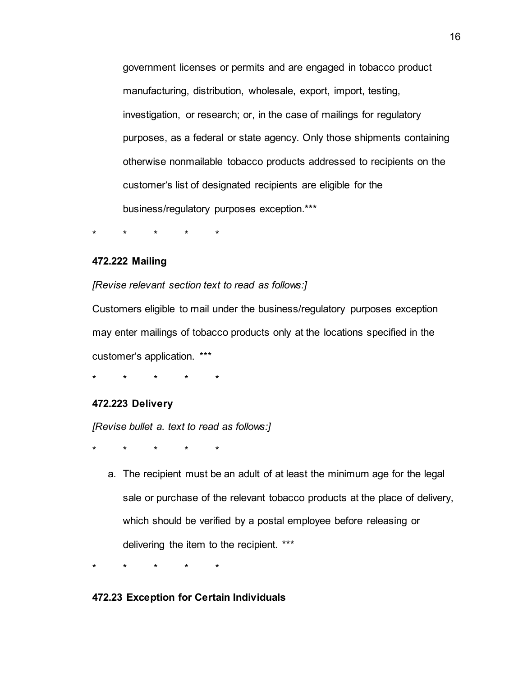government licenses or permits and are engaged in tobacco product manufacturing, distribution, wholesale, export, import, testing, investigation, or research; or, in the case of mailings for regulatory purposes, as a federal or state agency. Only those shipments containing otherwise nonmailable tobacco products addressed to recipients on the customer's list of designated recipients are eligible for the business/regulatory purposes exception.\*\*\*

\* \* \* \* \*

## **472.222 Mailing**

*[Revise relevant section text to read as follows:]*

Customers eligible to mail under the business/regulatory purposes exception may enter mailings of tobacco products only at the locations specified in the customer's application. \*\*\*

\* \* \* \* \*

#### **472.223 Delivery**

*[Revise bullet a. text to read as follows:]*

\* \* \* \* \*

a. The recipient must be an adult of at least the minimum age for the legal sale or purchase of the relevant tobacco products at the place of delivery, which should be verified by a postal employee before releasing or delivering the item to the recipient. \*\*\*

\* \* \* \* \*

## **472.23 Exception for Certain Individuals**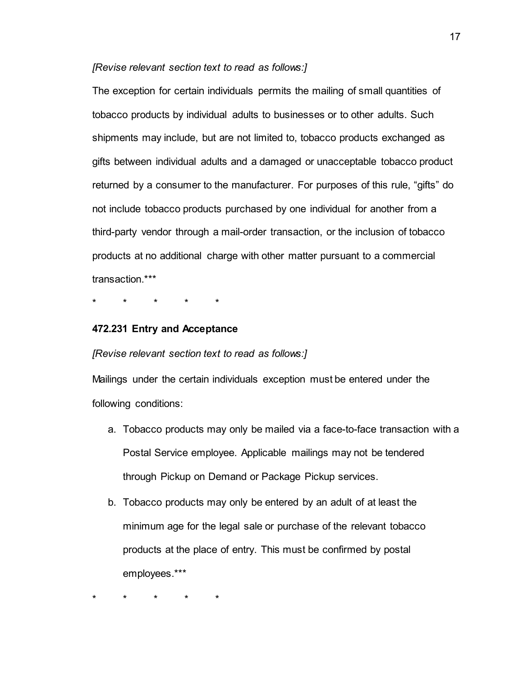## *[Revise relevant section text to read as follows:]*

The exception for certain individuals permits the mailing of small quantities of tobacco products by individual adults to businesses or to other adults. Such shipments may include, but are not limited to, tobacco products exchanged as gifts between individual adults and a damaged or unacceptable tobacco product returned by a consumer to the manufacturer. For purposes of this rule, "gifts" do not include tobacco products purchased by one individual for another from a third-party vendor through a mail-order transaction, or the inclusion of tobacco products at no additional charge with other matter pursuant to a commercial transaction.\*\*\*

\* \* \* \* \*

## **472.231 Entry and Acceptance**

*[Revise relevant section text to read as follows:]*

Mailings under the certain individuals exception must be entered under the following conditions:

- a. Tobacco products may only be mailed via a face-to-face transaction with a Postal Service employee. Applicable mailings may not be tendered through Pickup on Demand or Package Pickup services.
- b. Tobacco products may only be entered by an adult of at least the minimum age for the legal sale or purchase of the relevant tobacco products at the place of entry. This must be confirmed by postal employees.\*\*\*

\* \* \* \* \*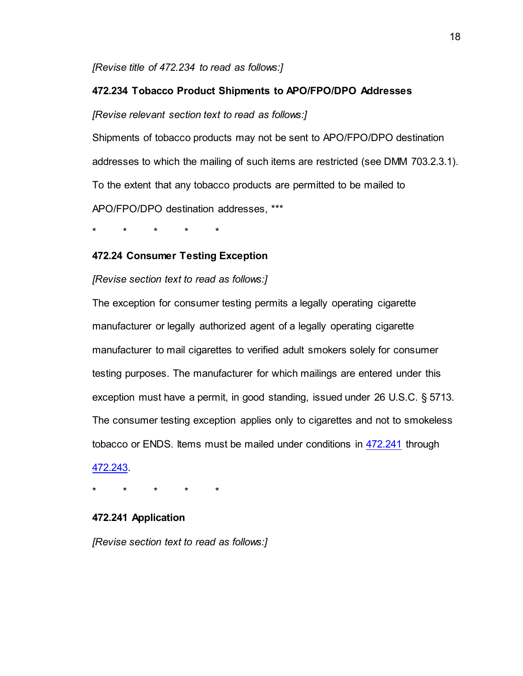*[Revise title of 472.234 to read as follows:]*

## **472.234 Tobacco Product Shipments to APO/FPO/DPO Addresses**

*[Revise relevant section text to read as follows:]*

Shipments of tobacco products may not be sent to APO/FPO/DPO destination addresses to which the mailing of such items are restricted (see DMM 703.2.3.1). To the extent that any tobacco products are permitted to be mailed to APO/FPO/DPO destination addresses, \*\*\*

\* \* \* \* \*

## **472.24 Consumer Testing Exception**

## *[Revise section text to read as follows:]*

The exception for consumer testing permits a legally operating cigarette manufacturer or legally authorized agent of a legally operating cigarette manufacturer to mail cigarettes to verified adult smokers solely for consumer testing purposes. The manufacturer for which mailings are entered under this exception must have a permit, in good standing, issued under 26 U.S.C. § 5713. The consumer testing exception applies only to cigarettes and not to smokeless tobacco or ENDS. Items must be mailed under conditions in [472.241](https://pe.usps.com/text/pub52/pub52c4_026.htm#ep347267) through [472.243.](https://pe.usps.com/text/pub52/pub52c4_026.htm#ep347333) 

\* \* \* \* \*

## **472.241 Application**

*[Revise section text to read as follows:]*